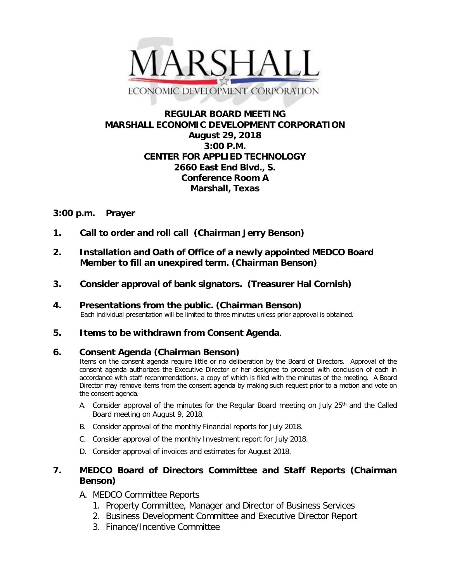

# **REGULAR BOARD MEETING MARSHALL ECONOMIC DEVELOPMENT CORPORATION August 29, 2018 3:00 P.M. CENTER FOR APPLIED TECHNOLOGY 2660 East End Blvd., S. Conference Room A Marshall, Texas**

## **3:00 p.m. Prayer**

- **1. Call to order and roll call (Chairman Jerry Benson)**
- **2. Installation and Oath of Office of a newly appointed MEDCO Board Member to fill an unexpired term. (Chairman Benson)**
- **3. Consider approval of bank signators. (Treasurer Hal Cornish)**
- **4. Presentations from the public. (Chairman Benson)**<br>Each individual presentation will be limited to three minutes unless prior approval is obtained.

### **5. Items to be withdrawn from Consent Agenda.**

### **6. Consent Agenda (Chairman Benson)**

Items on the consent agenda require little or no deliberation by the Board of Directors. Approval of the consent agenda authorizes the Executive Director or her designee to proceed with conclusion of each in accordance with staff recommendations, a copy of which is filed with the minutes of the meeting. A Board Director may remove items from the consent agenda by making such request prior to a motion and vote on the consent agenda.

- A. Consider approval of the minutes for the Regular Board meeting on July 25<sup>th</sup> and the Called Board meeting on August 9, 2018.
- B. Consider approval of the monthly Financial reports for July 2018.
- C. Consider approval of the monthly Investment report for July 2018.
- D. Consider approval of invoices and estimates for August 2018.

# **7. MEDCO Board of Directors Committee and Staff Reports (Chairman Benson)**

- A. MEDCO Committee Reports
	- 1. Property Committee, Manager and Director of Business Services
	- 2. Business Development Committee and Executive Director Report
	- 3. Finance/Incentive Committee